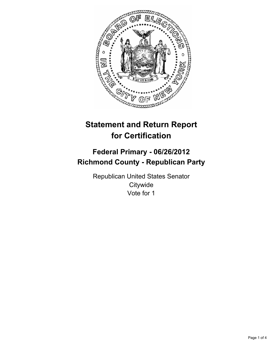

# **Statement and Return Report for Certification**

## **Federal Primary - 06/26/2012 Richmond County - Republican Party**

Republican United States Senator **Citywide** Vote for 1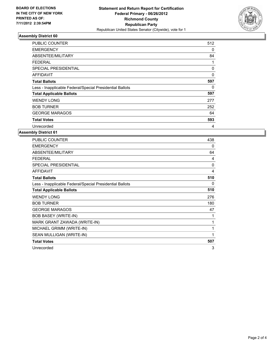

### **Assembly District 60**

| <b>PUBLIC COUNTER</b>                                    | 512 |
|----------------------------------------------------------|-----|
| <b>EMERGENCY</b>                                         | 0   |
| ABSENTEE/MILITARY                                        | 84  |
| <b>FEDERAL</b>                                           | 1   |
| SPECIAL PRESIDENTIAL                                     | 0   |
| AFFIDAVIT                                                | 0   |
| <b>Total Ballots</b>                                     | 597 |
| Less - Inapplicable Federal/Special Presidential Ballots | 0   |
| <b>Total Applicable Ballots</b>                          | 597 |
| <b>WENDY LONG</b>                                        | 277 |
| <b>BOB TURNER</b>                                        | 252 |
| <b>GEORGE MARAGOS</b>                                    | 64  |
| <b>Total Votes</b>                                       | 593 |
| Unrecorded                                               | 4   |

#### **Assembly District 61**

| <b>PUBLIC COUNTER</b>                                    | 438      |
|----------------------------------------------------------|----------|
| <b>EMERGENCY</b>                                         | 0        |
| ABSENTEE/MILITARY                                        | 64       |
| <b>FEDERAL</b>                                           | 4        |
| SPECIAL PRESIDENTIAL                                     | $\Omega$ |
| <b>AFFIDAVIT</b>                                         | 4        |
| <b>Total Ballots</b>                                     | 510      |
| Less - Inapplicable Federal/Special Presidential Ballots | 0        |
| <b>Total Applicable Ballots</b>                          | 510      |
| <b>WENDY LONG</b>                                        | 276      |
| <b>BOB TURNER</b>                                        | 180      |
| <b>GEORGE MARAGOS</b>                                    | 47       |
| <b>BOB BASEY (WRITE-IN)</b>                              | 1        |
| MARK GRANT ZAWADA (WRITE-IN)                             | 1        |
| MICHAEL GRIMM (WRITE-IN)                                 | 1        |
| SEAN MULLIGAN (WRITE-IN)                                 | 1        |
| <b>Total Votes</b>                                       | 507      |
| Unrecorded                                               | 3        |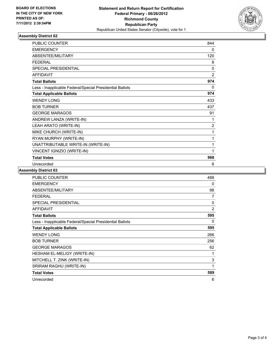

### **Assembly District 62**

| <b>PUBLIC COUNTER</b>                                    | 844            |
|----------------------------------------------------------|----------------|
| <b>EMERGENCY</b>                                         | 0              |
| ABSENTEE/MILITARY                                        | 120            |
| <b>FEDERAL</b>                                           | 8              |
| <b>SPECIAL PRESIDENTIAL</b>                              | 0              |
| <b>AFFIDAVIT</b>                                         | $\overline{2}$ |
| <b>Total Ballots</b>                                     | 974            |
| Less - Inapplicable Federal/Special Presidential Ballots | $\mathbf{0}$   |
| <b>Total Applicable Ballots</b>                          | 974            |
| <b>WENDY LONG</b>                                        | 433            |
| <b>BOB TURNER</b>                                        | 437            |
| <b>GEORGE MARAGOS</b>                                    | 91             |
| ANDREW LANZA (WRITE-IN)                                  | 1              |
| LEAH ARATO (WRITE-IN)                                    | $\overline{2}$ |
| MIKE CHURCH (WRITE-IN)                                   | 1              |
| RYAN MURPHY (WRITE-IN)                                   | 1              |
| UNATTRIBUTABLE WRITE-IN (WRITE-IN)                       | 1              |
| VINCENT IGNIZIO (WRITE-IN)                               | 1              |
| <b>Total Votes</b>                                       | 968            |
| Unrecorded                                               | 6              |

**Assembly District 63**

| <b>PUBLIC COUNTER</b>                                    | 488            |
|----------------------------------------------------------|----------------|
| <b>EMERGENCY</b>                                         | 0              |
| ABSENTEE/MILITARY                                        | 98             |
| <b>FEDERAL</b>                                           | 7              |
| <b>SPECIAL PRESIDENTIAL</b>                              | 0              |
| <b>AFFIDAVIT</b>                                         | $\overline{2}$ |
| <b>Total Ballots</b>                                     | 595            |
| Less - Inapplicable Federal/Special Presidential Ballots | 0              |
| <b>Total Applicable Ballots</b>                          | 595            |
| <b>WENDY LONG</b>                                        | 266            |
| <b>BOB TURNER</b>                                        | 256            |
| <b>GEORGE MARAGOS</b>                                    | 62             |
| HESHAM EL-MELIGY (WRITE-IN)                              | 1              |
| MITCHELL T. ZINK (WRITE-IN)                              | 3              |
| SRIRAM RAGHU (WRITE-IN)                                  | 1              |
| <b>Total Votes</b>                                       | 589            |
| Unrecorded                                               | 6              |